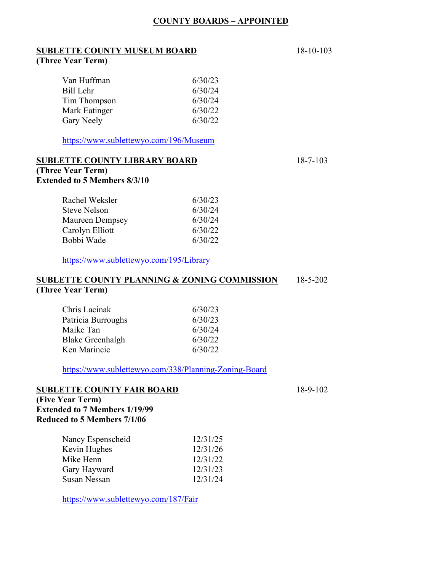#### **COUNTY BOARDS – APPOINTED**

#### **SUBLETTE COUNTY MUSEUM BOARD** 18-10-103 **(Three Year Term)**

| Van Huffman   | 6/30/23 |
|---------------|---------|
|               |         |
| Bill Lehr     | 6/30/24 |
| Tim Thompson  | 6/30/24 |
| Mark Eatinger | 6/30/22 |
| Gary Neely    | 6/30/22 |

https://www.sublettewyo.com/196/Museum

#### **SUBLETTE COUNTY LIBRARY BOARD** 18-7-103

# **(Three Year Term)**

#### **Extended to 5 Members 8/3/10**

| Rachel Weksler         | 6/30/23 |
|------------------------|---------|
| <b>Steve Nelson</b>    | 6/30/24 |
| <b>Maureen Dempsey</b> | 6/30/24 |
| Carolyn Elliott        | 6/30/22 |
| Bobbi Wade             | 6/30/22 |

https://www.sublettewyo.com/195/Library

#### **SUBLETTE COUNTY PLANNING & ZONING COMMISSION** 18-5-202 **(Three Year Term)**

| Chris Lacinak           | 6/30/23 |
|-------------------------|---------|
| Patricia Burroughs      | 6/30/23 |
| Maike Tan               | 6/30/24 |
| <b>Blake Greenhalgh</b> | 6/30/22 |
| Ken Marincic            | 6/30/22 |

https://www.sublettewyo.com/338/Planning-Zoning-Board

#### **SUBLETTE COUNTY FAIR BOARD** 18-9-102

**(Five Year Term) Extended to 7 Members 1/19/99 Reduced to 5 Members 7/1/06** 

| Nancy Espenscheid   | 12/31/25 |
|---------------------|----------|
| Kevin Hughes        | 12/31/26 |
| Mike Henn           | 12/31/22 |
| Gary Hayward        | 12/31/23 |
| <b>Susan Nessan</b> | 12/31/24 |

https://www.sublettewyo.com/187/Fair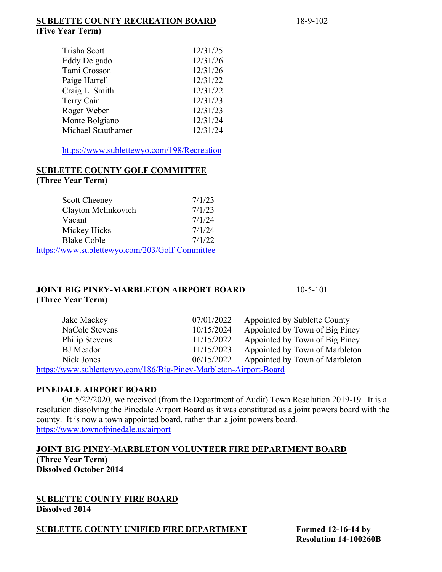#### **SUBLETTE COUNTY RECREATION BOARD** 18-9-102 **(Five Year Term)**

| Trisha Scott       | 12/31/25 |
|--------------------|----------|
| Eddy Delgado       | 12/31/26 |
| Tami Crosson       | 12/31/26 |
| Paige Harrell      | 12/31/22 |
| Craig L. Smith     | 12/31/22 |
| Terry Cain         | 12/31/23 |
| Roger Weber        | 12/31/23 |
| Monte Bolgiano     | 12/31/24 |
| Michael Stauthamer | 12/31/24 |
|                    |          |

https://www.sublettewyo.com/198/Recreation

#### **SUBLETTE COUNTY GOLF COMMITTEE (Three Year Term)**

| <b>Scott Cheeney</b>                           | 7/1/23 |
|------------------------------------------------|--------|
| Clayton Melinkovich                            | 7/1/23 |
| Vacant                                         | 7/1/24 |
| Mickey Hicks                                   | 7/1/24 |
| <b>Blake Coble</b>                             | 7/1/22 |
| https://www.sublettewyo.com/203/Golf-Committee |        |

#### **JOINT BIG PINEY-MARBLETON AIRPORT BOARD** 10-5-101 **(Three Year Term)**

| Jake Mackey                                                      | 07/01/2022 | Appointed by Sublette County   |
|------------------------------------------------------------------|------------|--------------------------------|
| NaCole Stevens                                                   | 10/15/2024 | Appointed by Town of Big Piney |
| Philip Stevens                                                   | 11/15/2022 | Appointed by Town of Big Piney |
| <b>BJ</b> Meador                                                 | 11/15/2023 | Appointed by Town of Marbleton |
| Nick Jones                                                       | 06/15/2022 | Appointed by Town of Marbleton |
| $http://www.cublattowus.com/196/Di0 Dimu Moshloton Aimout Doord$ |            |                                |

https://www.sublettewyo.com/186/Big-Piney-Marbleton-Airport-Board

#### **PINEDALE AIRPORT BOARD**

On 5/22/2020, we received (from the Department of Audit) Town Resolution 2019-19. It is a resolution dissolving the Pinedale Airport Board as it was constituted as a joint powers board with the county. It is now a town appointed board, rather than a joint powers board. https://www.townofpinedale.us/airport

#### **JOINT BIG PINEY-MARBLETON VOLUNTEER FIRE DEPARTMENT BOARD**

**(Three Year Term) Dissolved October 2014** 

**SUBLETTE COUNTY FIRE BOARD Dissolved 2014** 

**SUBLETTE COUNTY UNIFIED FIRE DEPARTMENT** Formed 12-16-14 by

 **Resolution 14-100260B**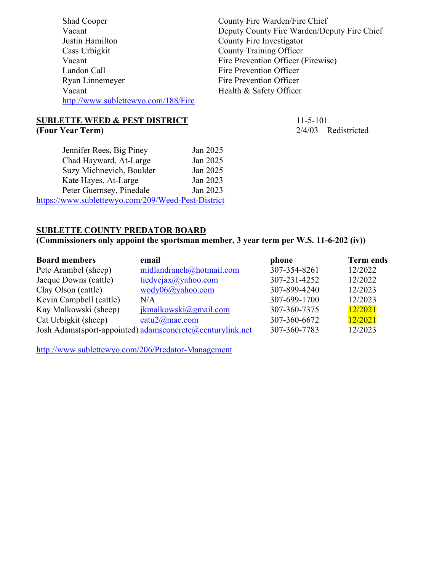| Shad Cooper                         | County Fire Warden/Fire Chief               |
|-------------------------------------|---------------------------------------------|
| Vacant                              | Deputy County Fire Warden/Deputy Fire Chief |
| Justin Hamilton                     | County Fire Investigator                    |
| Cass Urbigkit                       | <b>County Training Officer</b>              |
| Vacant                              | Fire Prevention Officer (Firewise)          |
| Landon Call                         | Fire Prevention Officer                     |
| Ryan Linnemeyer                     | Fire Prevention Officer                     |
| Vacant                              | Health & Safety Officer                     |
| http://www.sublettewyo.com/188/Fire |                                             |
|                                     |                                             |

#### **SUBLETTE WEED & PEST DISTRICT** 11-5-101 **(Four Year Term)** 2/4/03 – Redistricted

| Jennifer Rees, Big Piney                           | Jan 2025 |
|----------------------------------------------------|----------|
| Chad Hayward, At-Large                             | Jan 2025 |
| Suzy Michnevich, Boulder                           | Jan 2025 |
| Kate Hayes, At-Large                               | Jan 2023 |
| Peter Guernsey, Pinedale                           | Jan 2023 |
| https://www.sublettewyo.com/209/Weed-Pest-District |          |

### **SUBLETTE COUNTY PREDATOR BOARD**

## **(Commissioners only appoint the sportsman member, 3 year term per W.S. 11-6-202 (iv))**

| <b>Board members</b>    | email                                                     | phone        | <b>Term ends</b> |
|-------------------------|-----------------------------------------------------------|--------------|------------------|
| Pete Arambel (sheep)    | midlandranch@hotmail.com                                  | 307-354-8261 | 12/2022          |
| Jacque Downs (cattle)   | tiedyeiax@yahoo.com                                       | 307-231-4252 | 12/2022          |
| Clay Olson (cattle)     | $wody06(a)$ yahoo.com                                     | 307-899-4240 | 12/2023          |
| Kevin Campbell (cattle) | N/A                                                       | 307-699-1700 | 12/2023          |
| Kay Malkowski (sheep)   | $ikmalkowski$ @gmail.com                                  | 307-360-7375 | 12/2021          |
| Cat Urbigkit (sheep)    | catu2@mac.com                                             | 307-360-6672 | 12/2021          |
|                         | Josh Adams(sport-appointed) adamsconcrete@centurylink.net | 307-360-7783 | 12/2023          |

http://www.sublettewyo.com/206/Predator-Management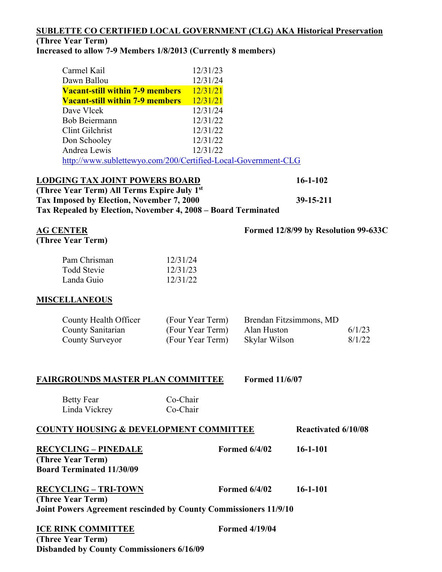## **SUBLETTE CO CERTIFIED LOCAL GOVERNMENT (CLG) AKA Historical Preservation**

## **(Three Year Term)**

### **Increased to allow 7-9 Members 1/8/2013 (Currently 8 members)**

| Carmel Kail                                                   | 12/31/23 |
|---------------------------------------------------------------|----------|
| Dawn Ballou                                                   | 12/31/24 |
| <b>Vacant-still within 7-9 members</b>                        | 12/31/21 |
| <b>Vacant-still within 7-9 members</b>                        | 12/31/21 |
| Dave Vlcek                                                    | 12/31/24 |
| <b>Bob Beiermann</b>                                          | 12/31/22 |
| Clint Gilchrist                                               | 12/31/22 |
| Don Schooley                                                  | 12/31/22 |
| Andrea Lewis                                                  | 12/31/22 |
| http://www.sublettewyo.com/200/Certified-Local-Government-CLG |          |

#### **LODGING TAX JOINT POWERS BOARD 16-1-102**

**(Three Year Term) All Terms Expire July 1st Tax Imposed by Election, November 7, 2000 39-15-211 Tax Repealed by Election, November 4, 2008 – Board Terminated** 

# **AG CENTER Formed 12/8/99 by Resolution 99-633C**

**(Three Year Term)** 

| Pam Chrisman       | 12/31/24 |
|--------------------|----------|
| <b>Todd Stevie</b> | 12/31/23 |
| Landa Guio         | 12/31/22 |

#### **MISCELLANEOUS**

| County Health Officer | (Four Year Term) | Brendan Fitzsimmons, MD |        |
|-----------------------|------------------|-------------------------|--------|
| County Sanitarian     | (Four Year Term) | Alan Huston             | 6/1/23 |
| County Surveyor       | (Four Year Term) | Skylar Wilson           | 8/1/22 |

#### **FAIRGROUNDS MASTER PLAN COMMITTEE Formed 11/6/07**

Betty Fear Co-Chair Linda Vickrey Co-Chair

| <b>COUNTY HOUSING &amp; DEVELOPMENT COMMITTEE</b>                |                       | <b>Reactivated 6/10/08</b> |  |
|------------------------------------------------------------------|-----------------------|----------------------------|--|
| <b>RECYCLING - PINEDALE</b>                                      | <b>Formed 6/4/02</b>  | $16 - 1 - 101$             |  |
| (Three Year Term)                                                |                       |                            |  |
| <b>Board Terminated 11/30/09</b>                                 |                       |                            |  |
| <b>RECYCLING - TRI-TOWN</b>                                      | <b>Formed 6/4/02</b>  | $16 - 1 - 101$             |  |
| (Three Year Term)                                                |                       |                            |  |
| Joint Powers Agreement rescinded by County Commissioners 11/9/10 |                       |                            |  |
| <b>ICE RINK COMMITTEE</b>                                        | <b>Formed 4/19/04</b> |                            |  |

**(Three Year Term) Disbanded by County Commissioners 6/16/09**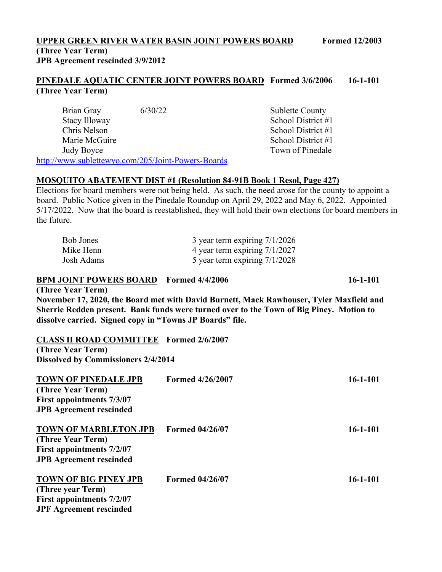### **UPPER GREEN RIVER WATER BASIN JOINT POWERS BOARD Formed 12/2003 (Three Year Term) JPB Agreement rescinded 3/9/2012**

**PINEDALE AQUATIC CENTER JOINT POWERS BOARD Formed 3/6/2006 16-1-101 (Three Year Term)** 

Brian Gray 6/30/22 Sublette County Stacy Illoway School District #1 Chris Nelson School District #1 Marie McGuire **School District #1** Judy Boyce Town of Pinedale http://www.sublettewyo.com/205/Joint-Powers-Boards

#### **MOSQUITO ABATEMENT DIST #1 (Resolution 84-91B Book 1 Resol, Page 427)**

Elections for board members were not being held. As such, the need arose for the county to appoint a board. Public Notice given in the Pinedale Roundup on April 29, 2022 and May 6, 2022. Appointed 5/17/2022. Now that the board is reestablished, they will hold their own elections for board members in the future.

| Bob Jones  | 3 year term expiring $7/1/2026$ |
|------------|---------------------------------|
| Mike Henn  | 4 year term expiring 7/1/2027   |
| Josh Adams | 5 year term expiring $7/1/2028$ |

#### **BPM JOINT POWERS BOARD Formed 4/4/2006 16-1-101**

**(Three Year Term)** 

**November 17, 2020, the Board met with David Burnett, Mack Rawhouser, Tyler Maxfield and Sherrie Redden present. Bank funds were turned over to the Town of Big Piney. Motion to dissolve carried. Signed copy in "Towns JP Boards" file.** 

#### **CLASS II ROAD COMMITTEE Formed 2/6/2007**

**(Three Year Term) Dissolved by Commissioners 2/4/2014** 

| <b>TOWN OF PINEDALE JPB</b><br>(Three Year Term)<br><b>First appointments 7/3/07</b><br><b>JPB Agreement rescinded</b> | <b>Formed 4/26/2007</b> | $16 - 1 - 101$ |
|------------------------------------------------------------------------------------------------------------------------|-------------------------|----------------|
| <b>TOWN OF MARBLETON JPB</b><br>(Three Year Term)<br>First appointments 7/2/07<br><b>JPB</b> Agreement rescinded       | <b>Formed 04/26/07</b>  | $16 - 1 - 101$ |
| <b>TOWN OF BIG PINEY JPB</b><br>(Three year Term)<br>First appointments 7/2/07<br><b>JPF Agreement rescinded</b>       | <b>Formed 04/26/07</b>  | $16 - 1 - 101$ |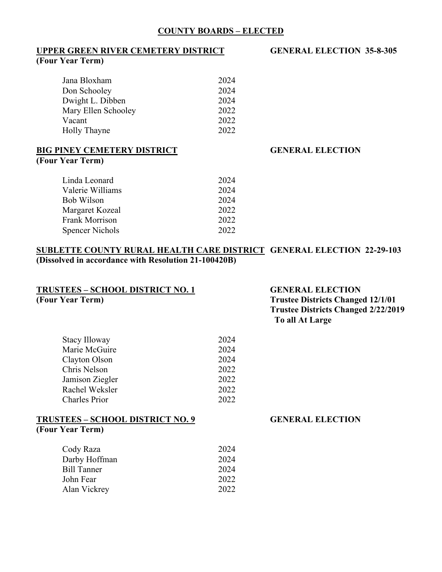#### **COUNTY BOARDS – ELECTED**

# **UPPER GREEN RIVER CEMETERY DISTRICT GENERAL ELECTION 35-8-305**

# **(Four Year Term)**

| Jana Bloxham        | 2024 |
|---------------------|------|
| Don Schooley        | 2024 |
| Dwight L. Dibben    | 2024 |
| Mary Ellen Schooley | 2022 |
| Vacant              | 2022 |
| Holly Thayne        | 2022 |
|                     |      |

#### **BIG PINEY CEMETERY DISTRICT GENERAL ELECTION (Four Year Term)**

| Linda Leonard          | 2024 |
|------------------------|------|
| Valerie Williams       | 2024 |
| Bob Wilson             | 2024 |
| Margaret Kozeal        | 2022 |
| <b>Frank Morrison</b>  | 2022 |
| <b>Spencer Nichols</b> | 2022 |

#### **SUBLETTE COUNTY RURAL HEALTH CARE DISTRICT GENERAL ELECTION 22-29-103 (Dissolved in accordance with Resolution 21-100420B)**

| <b>TRUSTEES - SCHOOL DISTRICT NO. 1</b> |      |  |
|-----------------------------------------|------|--|
| (Four Year Term)                        |      |  |
|                                         |      |  |
|                                         |      |  |
| Stacy Illoway                           | 2024 |  |
| Marie McGuire                           | 2024 |  |
| Clayton Olson                           | 2024 |  |
| Chris Nelson                            | 2022 |  |
| Jamison Ziegler                         | 2022 |  |
| Rachel Weksler                          | 2022 |  |
| <b>Charles Prior</b>                    | 2022 |  |
| <b>TRUSTEES - SCHOOL DISTRICT NO. 9</b> |      |  |
| (Four Year Term)                        |      |  |
| Cody Raza                               | 2024 |  |
| Darby Hoffman                           | 2024 |  |
| <b>Bill Tanner</b>                      | 2024 |  |
| John Fear                               | 2022 |  |
| Alan Vickrey                            | 2022 |  |
|                                         |      |  |

#### **GENERAL ELECTION Trustee Districts Changed 12/1/01 Trustee Districts Changed 2/22/2019 To all At Large**

# **GENERAL ELECTION**